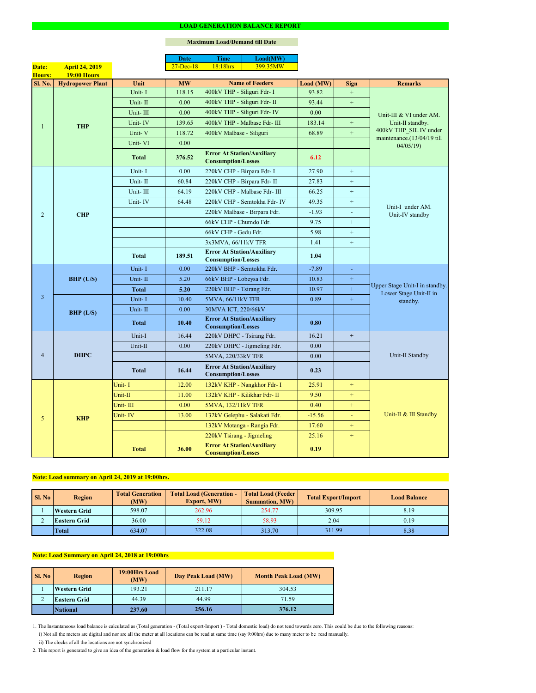2. This report is generated to give an idea of the generation & load flow for the system at a particular instant.

### **Maximum Load/Demand till Date**

ii) The clocks of all the locations are not synchronized

1. The Instantaneous load balance is calculated as (Total generation - (Total export-Import ) - Total domestic load) do not tend towards zero. This could be due to the following reasons:

| <b>Sl. No</b> | <b>Region</b>       | <b>Total Load (Generation -</b><br><b>Total Generation</b><br>(MW) |        | <b>Total Load (Feeder)</b><br><b>Summation, MW)</b> | <b>Total Export/Import</b> | <b>Load Balance</b> |
|---------------|---------------------|--------------------------------------------------------------------|--------|-----------------------------------------------------|----------------------------|---------------------|
|               | <b>Western Grid</b> | 598.07                                                             | 262.96 | 254.77                                              | 309.95                     | 8.19                |
|               | <b>Eastern Grid</b> | 36.00                                                              | 59.12  | 58.93                                               | 2.04                       | 0.19                |
|               | Total               | 634.07                                                             | 322.08 | 313.70                                              | 311.99                     | 8.38                |

| Sl. No | 19:00Hrs Load<br><b>Region</b><br>(MW) |        | Day Peak Load (MW) | <b>Month Peak Load (MW)</b> |
|--------|----------------------------------------|--------|--------------------|-----------------------------|
|        | <b>Western Grid</b>                    | 193.21 | 211.17             | 304.53                      |
| ◠      | <b>Eastern Grid</b>                    | 44.39  | 44.99              | 71.59                       |
|        | <b>National</b>                        | 237.60 | 256.16             | 376.12                      |

# **Note: Load summary on April 24, 2019 at 19:00hrs.**

|                |                         |              | <b>Date</b>   | <b>Time</b>                                                    | Load(MW)                      |           |                  |                                                                      |  |
|----------------|-------------------------|--------------|---------------|----------------------------------------------------------------|-------------------------------|-----------|------------------|----------------------------------------------------------------------|--|
| Date:          | <b>April 24, 2019</b>   |              | $27 - Dec-18$ | 18:18hrs                                                       | 399.35MW                      |           |                  |                                                                      |  |
| Hours:         | <b>19:00 Hours</b>      |              |               |                                                                |                               |           |                  |                                                                      |  |
| Sl. No.        | <b>Hydropower Plant</b> | Unit         | <b>MW</b>     |                                                                | <b>Name of Feeders</b>        | Load (MW) | <b>Sign</b>      | <b>Remarks</b>                                                       |  |
|                |                         | Unit-I       | 118.15        | 400kV THP - Siliguri Fdr- I                                    |                               | 93.82     | $+$              |                                                                      |  |
|                |                         | Unit-II      | 0.00          |                                                                | 400kV THP - Siliguri Fdr- II  | 93.44     | $\boldsymbol{+}$ | Unit-III & VI under AM.                                              |  |
|                |                         | Unit-III     | 0.00          |                                                                | 400kV THP - Siliguri Fdr- IV  | 0.00      |                  |                                                                      |  |
|                | <b>THP</b>              | Unit-IV      | 139.65        |                                                                | 400kV THP - Malbase Fdr- III  | 183.14    | $\boldsymbol{+}$ | Unit-II standby.                                                     |  |
|                |                         | Unit-V       | 118.72        | 400kV Malbase - Siliguri                                       |                               | 68.89     | $\boldsymbol{+}$ | 400kV THP_SIL IV under<br>maintenance.(13/04/19 till                 |  |
|                |                         | Unit-VI      | 0.00          |                                                                |                               |           |                  | 04/05/19                                                             |  |
|                |                         | <b>Total</b> | 376.52        | <b>Error At Station/Auxiliary</b><br><b>Consumption/Losses</b> |                               | 6.12      |                  |                                                                      |  |
|                |                         | Unit-I       | 0.00          | 220kV CHP - Birpara Fdr- I                                     |                               | 27.90     | $+$              |                                                                      |  |
|                |                         | Unit-II      | 60.84         |                                                                | 220kV CHP - Birpara Fdr- II   | 27.83     | $+$              |                                                                      |  |
|                |                         | Unit-III     | 64.19         |                                                                | 220kV CHP - Malbase Fdr- III  | 66.25     | $+$              |                                                                      |  |
|                |                         | Unit-IV      | 64.48         |                                                                | 220kV CHP - Semtokha Fdr- IV  | 49.35     | $+$              |                                                                      |  |
| $\overline{2}$ | <b>CHP</b>              |              |               |                                                                | 220kV Malbase - Birpara Fdr.  | $-1.93$   | $\blacksquare$   | Unit-I under AM.<br>Unit-IV standby                                  |  |
|                |                         |              |               | 66kV CHP - Chumdo Fdr.                                         |                               | 9.75      | $+$              |                                                                      |  |
|                |                         |              |               | 66kV CHP - Gedu Fdr.                                           |                               | 5.98      | $\boldsymbol{+}$ |                                                                      |  |
|                |                         |              |               | 3x3MVA, 66/11kV TFR                                            |                               | 1.41      | $+$              |                                                                      |  |
|                |                         | <b>Total</b> | 189.51        | <b>Error At Station/Auxiliary</b><br><b>Consumption/Losses</b> |                               | 1.04      |                  |                                                                      |  |
|                | BHP (U/S)               | Unit-I       | 0.00          | 220kV BHP - Semtokha Fdr.                                      |                               | $-7.89$   | $\blacksquare$   | Upper Stage Unit-I in standby.<br>Lower Stage Unit-II in<br>standby. |  |
|                |                         | Unit-II      | 5.20          | 66kV BHP - Lobeysa Fdr.                                        |                               | 10.83     | $\pm$            |                                                                      |  |
|                |                         | <b>Total</b> | 5.20          | 220kV BHP - Tsirang Fdr.                                       |                               | 10.97     | $+$              |                                                                      |  |
| $\overline{3}$ |                         | Unit-I       | 10.40         | 5MVA, 66/11kV TFR                                              |                               | 0.89      | $+$              |                                                                      |  |
|                | BHP (L/S)               | Unit-II      | 0.00          | 30MVA ICT, 220/66kV                                            |                               |           |                  |                                                                      |  |
|                |                         | <b>Total</b> | 10.40         | <b>Error At Station/Auxiliary</b><br><b>Consumption/Losses</b> |                               | 0.80      |                  |                                                                      |  |
|                | <b>DHPC</b>             | Unit-I       | 16.44         | 220kV DHPC - Tsirang Fdr.                                      |                               | 16.21     | $+$              |                                                                      |  |
|                |                         | Unit-II      | 0.00          |                                                                | 220kV DHPC - Jigmeling Fdr.   | 0.00      |                  |                                                                      |  |
| $\overline{4}$ |                         |              |               | 5MVA, 220/33kV TFR                                             |                               | 0.00      |                  | Unit-II Standby                                                      |  |
|                |                         | <b>Total</b> | 16.44         | <b>Error At Station/Auxiliary</b><br><b>Consumption/Losses</b> |                               | 0.23      |                  |                                                                      |  |
|                |                         | Unit-I       | 12.00         |                                                                | 132kV KHP - Nangkhor Fdr- I   | 25.91     | $+$              |                                                                      |  |
|                |                         | Unit-II      | 11.00         |                                                                | 132kV KHP - Kilikhar Fdr- II  | 9.50      | $+$              |                                                                      |  |
|                |                         | Unit-III     | 0.00          | 5MVA, 132/11kV TFR                                             |                               | 0.40      | $+$              |                                                                      |  |
| 5              | <b>KHP</b>              | Unit-IV      | 13.00         |                                                                | 132kV Gelephu - Salakati Fdr. | $-15.56$  | $\equiv$         | Unit-II & III Standby                                                |  |
|                |                         |              |               |                                                                | 132kV Motanga - Rangia Fdr.   | 17.60     | $+$              |                                                                      |  |
|                |                         |              |               | 220kV Tsirang - Jigmeling                                      |                               | 25.16     | $+$              |                                                                      |  |
|                |                         | <b>Total</b> | 36.00         | <b>Error At Station/Auxiliary</b><br><b>Consumption/Losses</b> |                               | 0.19      |                  |                                                                      |  |

i) Not all the meters are digital and nor are all the meter at all locations can be read at same time (say 9:00hrs) due to many meter to be read manually.

# **Note: Load Summary on April 24, 2018 at 19:00hrs**

#### **LOAD GENERATION BALANCE REPORT**